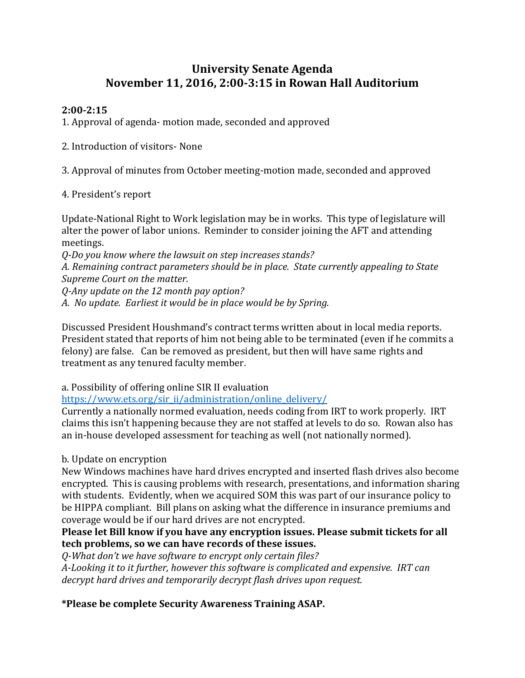# **University Senate Agenda November 11, 2016, 2:00-3:15 in Rowan Hall Auditorium**

#### **2:00-2:15**

1. Approval of agenda- motion made, seconded and approved

2. Introduction of visitors- None

3. Approval of minutes from October meeting-motion made, seconded and approved

4. President's report

Update-National Right to Work legislation may be in works. This type of legislature will alter the power of labor unions. Reminder to consider joining the AFT and attending meetings.

*Q-Do you know where the lawsuit on step increases stands? A. Remaining contract parameters should be in place. State currently appealing to State Supreme Court on the matter. Q-Any update on the 12 month pay option? A. No update. Earliest it would be in place would be by Spring.*

Discussed President Houshmand's contract terms written about in local media reports. President stated that reports of him not being able to be terminated (even if he commits a felony) are false. Can be removed as president, but then will have same rights and treatment as any tenured faculty member.

a. Possibility of offering online SIR II evaluation

[https://www.ets.org/sir\\_ii/administration/online\\_delivery/](https://www.ets.org/sir_ii/administration/online_delivery/)

Currently a nationally normed evaluation, needs coding from IRT to work properly. IRT claims this isn't happening because they are not staffed at levels to do so. Rowan also has an in-house developed assessment for teaching as well (not nationally normed).

### b. Update on encryption

New Windows machines have hard drives encrypted and inserted flash drives also become encrypted. This is causing problems with research, presentations, and information sharing with students. Evidently, when we acquired SOM this was part of our insurance policy to be HIPPA compliant. Bill plans on asking what the difference in insurance premiums and coverage would be if our hard drives are not encrypted.

**Please let Bill know if you have any encryption issues. Please submit tickets for all tech problems, so we can have records of these issues.** 

*Q-What don't we have software to encrypt only certain files?*

*A-Looking it to it further, however this software is complicated and expensive. IRT can decrypt hard drives and temporarily decrypt flash drives upon request.* 

**\*Please be complete Security Awareness Training ASAP.**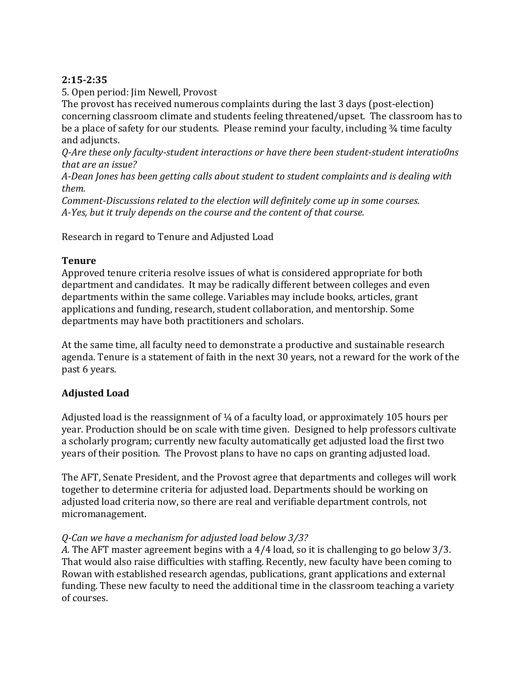## **2:15-2:35**

5. Open period: Jim Newell, Provost

The provost has received numerous complaints during the last 3 days (post-election) concerning classroom climate and students feeling threatened/upset. The classroom has to be a place of safety for our students. Please remind your faculty, including 3/4 time faculty and adjuncts.

*Q-Are these only faculty-student interactions or have there been student-student interatio0ns that are an issue?*

*A-Dean Jones has been getting calls about student to student complaints and is dealing with them.*

*Comment-Discussions related to the election will definitely come up in some courses. A-Yes, but it truly depends on the course and the content of that course.*

Research in regard to Tenure and Adjusted Load

### **Tenure**

Approved tenure criteria resolve issues of what is considered appropriate for both department and candidates. It may be radically different between colleges and even departments within the same college. Variables may include books, articles, grant applications and funding, research, student collaboration, and mentorship. Some departments may have both practitioners and scholars.

At the same time, all faculty need to demonstrate a productive and sustainable research agenda. Tenure is a statement of faith in the next 30 years, not a reward for the work of the past 6 years.

# **Adjusted Load**

Adjusted load is the reassignment of  $\frac{1}{4}$  of a faculty load, or approximately 105 hours per year. Production should be on scale with time given. Designed to help professors cultivate a scholarly program; currently new faculty automatically get adjusted load the first two years of their position. The Provost plans to have no caps on granting adjusted load.

The AFT, Senate President, and the Provost agree that departments and colleges will work together to determine criteria for adjusted load. Departments should be working on adjusted load criteria now, so there are real and verifiable department controls, not micromanagement.

### *Q-Can we have a mechanism for adjusted load below 3/3?*

*A.* The AFT master agreement begins with a 4/4 load, so it is challenging to go below 3/3. That would also raise difficulties with staffing. Recently, new faculty have been coming to Rowan with established research agendas, publications, grant applications and external funding. These new faculty to need the additional time in the classroom teaching a variety of courses.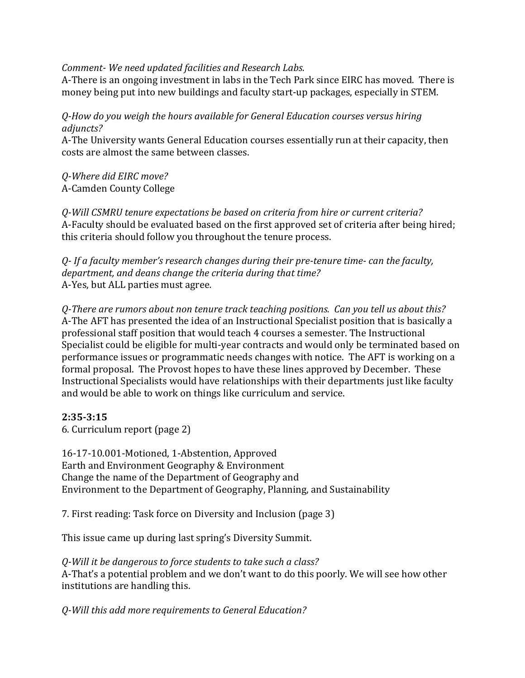#### *Comment- We need updated facilities and Research Labs.*

A-There is an ongoing investment in labs in the Tech Park since EIRC has moved. There is money being put into new buildings and faculty start-up packages, especially in STEM.

## *Q-How do you weigh the hours available for General Education courses versus hiring adjuncts?*

A-The University wants General Education courses essentially run at their capacity, then costs are almost the same between classes.

*Q-Where did EIRC move?* A-Camden County College

*Q-Will CSMRU tenure expectations be based on criteria from hire or current criteria?* A-Faculty should be evaluated based on the first approved set of criteria after being hired; this criteria should follow you throughout the tenure process.

*Q- If a faculty member's research changes during their pre-tenure time- can the faculty, department, and deans change the criteria during that time?* A-Yes, but ALL parties must agree*.*

*Q-There are rumors about non tenure track teaching positions. Can you tell us about this?* A-The AFT has presented the idea of an Instructional Specialist position that is basically a professional staff position that would teach 4 courses a semester. The Instructional Specialist could be eligible for multi-year contracts and would only be terminated based on performance issues or programmatic needs changes with notice. The AFT is working on a formal proposal. The Provost hopes to have these lines approved by December. These Instructional Specialists would have relationships with their departments just like faculty and would be able to work on things like curriculum and service.

# **2:35-3:15**

6. Curriculum report (page 2)

16-17-10.001-Motioned, 1-Abstention, Approved Earth and Environment Geography & Environment Change the name of the Department of Geography and Environment to the Department of Geography, Planning, and Sustainability

7. First reading: Task force on Diversity and Inclusion (page 3)

This issue came up during last spring's Diversity Summit.

*Q-Will it be dangerous to force students to take such a class?* A-That's a potential problem and we don't want to do this poorly. We will see how other institutions are handling this.

*Q-Will this add more requirements to General Education?*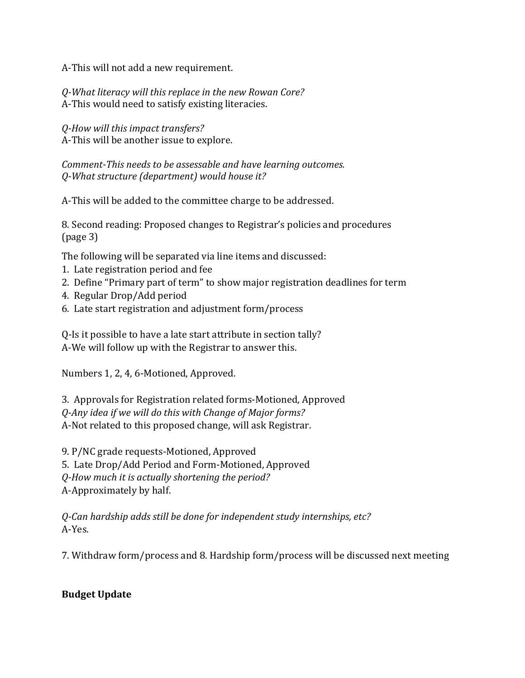A-This will not add a new requirement.

*Q-What literacy will this replace in the new Rowan Core?* A-This would need to satisfy existing literacies.

*Q-How will this impact transfers?* A-This will be another issue to explore.

*Comment-This needs to be assessable and have learning outcomes. Q-What structure (department) would house it?*

A-This will be added to the committee charge to be addressed.

8. Second reading: Proposed changes to Registrar's policies and procedures (page 3)

The following will be separated via line items and discussed:

- 1. Late registration period and fee
- 2. Define "Primary part of term" to show major registration deadlines for term
- 4. Regular Drop/Add period
- 6. Late start registration and adjustment form/process

Q-Is it possible to have a late start attribute in section tally? A-We will follow up with the Registrar to answer this.

Numbers 1, 2, 4, 6-Motioned, Approved.

3. Approvals for Registration related forms-Motioned, Approved *Q-Any idea if we will do this with Change of Major forms?* A-Not related to this proposed change, will ask Registrar.

9. P/NC grade requests-Motioned, Approved

5. Late Drop/Add Period and Form-Motioned, Approved

*Q-How much it is actually shortening the period?*

A-Approximately by half.

*Q-Can hardship adds still be done for independent study internships, etc?* A-Yes.

7. Withdraw form/process and 8. Hardship form/process will be discussed next meeting

### **Budget Update**